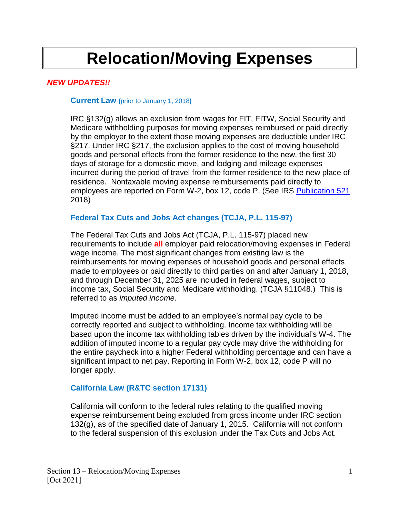# **Relocation/Moving Expenses**

## *NEW UPDATES!!*

#### **Current Law (**prior to January 1, 2018**)**

IRC §132(g) allows an exclusion from wages for FIT, FITW, Social Security and Medicare withholding purposes for moving expenses reimbursed or paid directly by the employer to the extent those moving expenses are deductible under IRC §217. Under IRC §217, the exclusion applies to the cost of moving household goods and personal effects from the former residence to the new, the first 30 days of storage for a domestic move, and lodging and mileage expenses incurred during the period of travel from the former residence to the new place of residence. Nontaxable moving expense reimbursements paid directly to employees are reported on Form W-2, box 12, code P. (See IRS [Publication 521](https://www.irs.gov/publications/p521) 2018)

## **Federal Tax Cuts and Jobs Act changes (TCJA, P.L. 115-97)**

The Federal Tax Cuts and Jobs Act (TCJA, P.L. 115-97) placed new requirements to include **all** employer paid relocation/moving expenses in Federal wage income. The most significant changes from existing law is the reimbursements for moving expenses of household goods and personal effects made to employees or paid directly to third parties on and after January 1, 2018, and through December 31, 2025 are included in federal wages, subject to income tax, Social Security and Medicare withholding. (TCJA §11048.) This is referred to as *imputed income*.

Imputed income must be added to an employee's normal pay cycle to be correctly reported and subject to withholding. Income tax withholding will be based upon the income tax withholding tables driven by the individual's W-4. The addition of imputed income to a regular pay cycle may drive the withholding for the entire paycheck into a higher Federal withholding percentage and can have a significant impact to net pay. Reporting in Form W-2, box 12, code P will no longer apply.

## **California Law (R&TC section 17131)**

California will conform to the federal rules relating to the qualified moving expense reimbursement being excluded from gross income under IRC section 132(g), as of the specified date of January 1, 2015. California will not conform [to the federal suspension of this exclusion](https://www.ftb.ca.gov/law/legis/Federal-Tax-Changes/2017.pdf) under the Tax Cuts and Jobs A[ct.](https://www.ftb.ca.gov/law/legis/Federal-Tax-Changes/2017.pdf)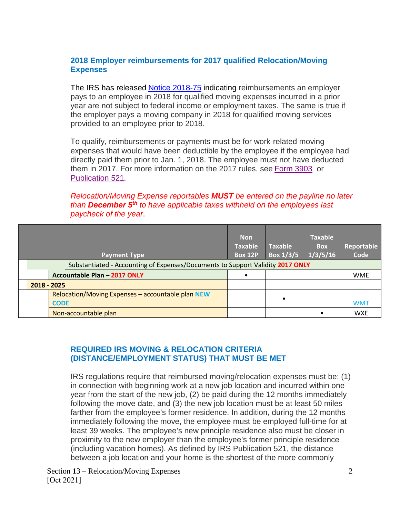## **2018 Employer reimbursements for 2017 qualified Relocation/Moving Expenses**

The IRS has released [Notice 2018-75](https://www.irs.gov/pub/irs-drop/n-18-75.pdf) indicating reimbursements an employer pays to an employee in 2018 for qualified moving expenses incurred in a prior year are not subject to federal income or employment taxes. The same is true if the employer pays a moving company in 2018 for qualified moving services provided to an employee prior to 2018.

To qualify, reimbursements or payments must be for work-related moving expenses that would have been deductible by the employee if the employee had directly paid them prior to Jan. 1, 2018. The employee must not have deducted them in 2017. For more information on the 2017 rules, see [Form 3903](https://www.irs.gov/forms-pubs/about-form-3903) or [Publication 521](https://www.irs.gov/pub/irs-prior/p521--2018.pdf).

*Relocation/Moving Expense reportables MUST be entered on the payline no later than December 5th to have applicable taxes withheld on the employees last paycheck of the year*.

|  |             | <b>Payment Type</b><br>Substantiated - Accounting of Expenses/Documents to Support Validity 2017 ONLY |                                                   | <b>Non</b><br><b>Taxable</b><br><b>Box 12P</b> | <b>Taxable</b><br>Box $1/3/5$ | <b>Taxable</b><br><b>Box</b><br>1/3/5/16 | Reportable<br>Code |
|--|-------------|-------------------------------------------------------------------------------------------------------|---------------------------------------------------|------------------------------------------------|-------------------------------|------------------------------------------|--------------------|
|  |             |                                                                                                       | Accountable Plan - 2017 ONLY                      |                                                |                               |                                          | <b>WME</b>         |
|  | 2018 - 2025 |                                                                                                       |                                                   |                                                |                               |                                          |                    |
|  |             | <b>CODE</b>                                                                                           | Relocation/Moving Expenses - accountable plan NEW |                                                | $\bullet$                     |                                          | <b>WMT</b>         |
|  |             |                                                                                                       | Non-accountable plan                              |                                                |                               |                                          | <b>WXE</b>         |

## **REQUIRED IRS MOVING & RELOCATION CRITERIA (DISTANCE/EMPLOYMENT STATUS) THAT MUST BE MET**

IRS regulations require that reimbursed moving/relocation expenses must be: (1) in connection with beginning work at a new job location and incurred within one year from the start of the new job, (2) be paid during the 12 months immediately following the move date, and (3) the new job location must be at least 50 miles farther from the employee's former residence. In addition, during the 12 months immediately following the move, the employee must be employed full-time for at least 39 weeks. The employee's new principle residence also must be closer in proximity to the new employer than the employee's former principle residence (including vacation homes). As defined by IRS Publication 521, the distance between a job location and your home is the shortest of the more commonly

Section 13 – Relocation/Moving Expenses [Oct 2021]